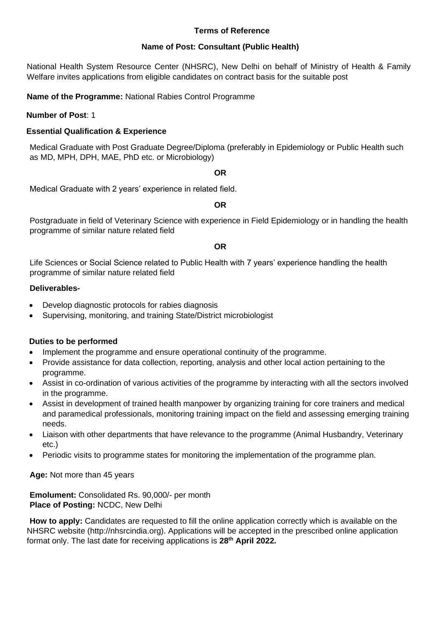#### **Terms of Reference**

#### **Name of Post: Consultant (Public Health)**

National Health System Resource Center (NHSRC), New Delhi on behalf of Ministry of Health & Family Welfare invites applications from eligible candidates on contract basis for the suitable post

**Name of the Programme:** National Rabies Control Programme

#### **Number of Post**: 1

#### **Essential Qualification & Experience**

Medical Graduate with Post Graduate Degree/Diploma (preferably in Epidemiology or Public Health such as MD, MPH, DPH, MAE, PhD etc. or Microbiology)

#### **OR**

Medical Graduate with 2 years' experience in related field.

#### **OR**

Postgraduate in field of Veterinary Science with experience in Field Epidemiology or in handling the health programme of similar nature related field

#### **OR**

Life Sciences or Social Science related to Public Health with 7 years' experience handling the health programme of similar nature related field

#### **Deliverables-**

- Develop diagnostic protocols for rabies diagnosis
- Supervising, monitoring, and training State/District microbiologist

#### **Duties to be performed**

- Implement the programme and ensure operational continuity of the programme.
- Provide assistance for data collection, reporting, analysis and other local action pertaining to the programme.
- Assist in co-ordination of various activities of the programme by interacting with all the sectors involved in the programme.
- Assist in development of trained health manpower by organizing training for core trainers and medical and paramedical professionals, monitoring training impact on the field and assessing emerging training needs.
- Liaison with other departments that have relevance to the programme (Animal Husbandry, Veterinary etc.)
- Periodic visits to programme states for monitoring the implementation of the programme plan.

**Age:** Not more than 45 years

**Emolument:** Consolidated Rs. 90,000/- per month **Place of Posting:** NCDC, New Delhi

**How to apply:** Candidates are requested to fill the online application correctly which is available on the NHSRC website (http://nhsrcindia.org). Applications will be accepted in the prescribed online application format only. The last date for receiving applications is **28 th April 2022.**